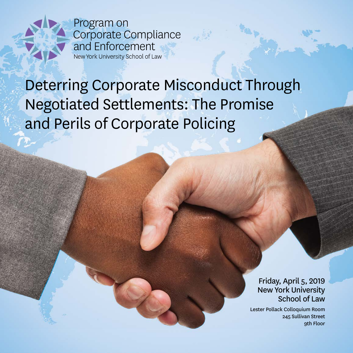

# Deterring Corporate Misconduct Through Negotiated Settlements: The Promise and Perils of Corporate Policing

 $\alpha$ 

Friday, April 5, 2019 New York University School of Law

Lester Pollack Colloquium Room 245 Sullivan Street 9th Floor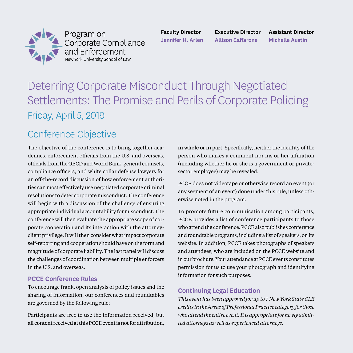

Program on Corporate Compliance and Enforcement New York University School of Law

**Faculty Director Jennifer H. Arlen** 

**Executive Director Allison Caffarone**

**Assistant Director Michelle Austin** 

# Deterring Corporate Misconduct Through Negotiated Settlements: The Promise and Perils of Corporate Policing Friday, April 5, 2019

# Conference Objective

The objective of the conference is to bring together academics, enforcement officials from the U.S. and overseas, officials from the OECD and World Bank, general counsels, compliance officers, and white collar defense lawyers for an off-the-record discussion of how enforcement authorities can most effectively use negotiated corporate criminal resolutions to deter corporate misconduct. The conference will begin with a discussion of the challenge of ensuring appropriate individual accountability for misconduct. The conference will then evaluate the appropriate scope of corporate cooperation and its interaction with the attorneyclient privilege. It will then consider what impact corporate self-reporting and cooperation should have on the form and magnitude of corporate liability. The last panel will discuss the challenges of coordination between multiple enforcers in the U.S. and overseas.

# **PCCE Conference Rules**

To encourage frank, open analysis of policy issues and the sharing of information, our conferences and roundtables are governed by the following rule:

Participants are free to use the information received, but all content received at this PCCE event is not for attribution, in whole or in part. Specifically, neither the identity of the person who makes a comment nor his or her affiliation (including whether he or she is a government or privatesector employee) may be revealed.

PCCE does not videotape or otherwise record an event (or any segment of an event) done under this rule, unless otherwise noted in the program.

To promote future communication among participants, PCCE provides a list of conference participants to those who attend the conference. PCCE also publishes conference and roundtable programs, including a list of speakers, on its website. In addition, PCCE takes photographs of speakers and attendees, who are included on the PCCE website and in our brochure. Your attendance at PCCE events constitutes permission for us to use your photograph and identifying information for such purposes.

# **Continuing Legal Education**

*This event has been approved for up to 7 New York State CLE credits in the Areas of Professional Practice category for those who attend the entire event. It is appropriate for newly admitted attorneys as well as experienced attorneys.*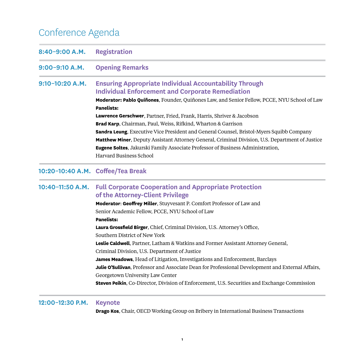# Conference Agenda

| 8:40-9:00 A.M.    | <b>Registration</b>                                                                                                      |
|-------------------|--------------------------------------------------------------------------------------------------------------------------|
| 9:00-9:10 A.M.    | <b>Opening Remarks</b>                                                                                                   |
| $9:10-10:20$ A.M. | <b>Ensuring Appropriate Individual Accountability Through</b><br><b>Individual Enforcement and Corporate Remediation</b> |
|                   | <b>Moderator: Pablo Quiñones, Founder, Quiñones Law, and Senior Fellow, PCCE, NYU School of Law</b><br><b>Panelists:</b> |
|                   | <b>Lawrence Gerschwer</b> , Partner, Fried, Frank, Harris, Shriver & Jacobson                                            |
|                   | <b>Brad Karp, Chairman, Paul, Weiss, Rifkind, Wharton &amp; Garrison</b>                                                 |
|                   | <b>Sandra Leung, Executive Vice President and General Counsel, Bristol-Myers Squibb Company</b>                          |
|                   | <b>Matthew Miner, Deputy Assistant Attorney General, Criminal Division, U.S. Department of Justice</b>                   |
|                   | <b>Eugene Soltes,</b> Jakurski Family Associate Professor of Business Administration,<br>Harvard Business School         |

### **10:20–10:40 A.M. Coffee/Tea Break**

# **10:40–11:50 A.M. Full Corporate Cooperation and Appropriate Protection of the Attorney-Client Privilege**

**Moderator**: **Geoffrey Miller**, Stuyvesant P. Comfort Professor of Law and Senior Academic Fellow, PCCE, NYU School of Law **Panelists: Laura Grossfield Birger**, Chief, Criminal Division, U.S. Attorney's Office, Southern District of New York

**Leslie Caldwell**, Partner, Latham & Watkins and Former Assistant Attorney General,

Criminal Division, U.S. Department of Justice

**James Meadows**, Head of Litigation, Investigations and Enforcement, Barclays

**Julie O'Sullivan**, Professor and Associate Dean for Professional Development and External Affairs,

Georgetown University Law Center

**Steven Peikin**, Co-Director, Division of Enforcement, U.S. Securities and Exchange Commission

#### **12:00–12:30 P.M. Keynote**

**Drago Kos**, Chair, OECD Working Group on Bribery in International Business Transactions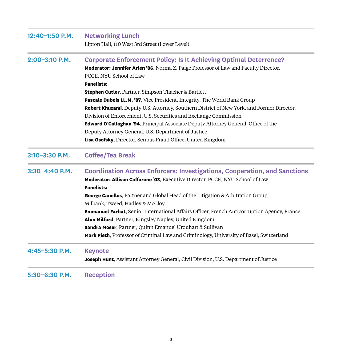| 12:40-1:50 P.M.  | <b>Networking Lunch</b>                                                                             |
|------------------|-----------------------------------------------------------------------------------------------------|
|                  | Lipton Hall, 110 West 3rd Street (Lower Level)                                                      |
| $2:00-3:10$ P.M. | <b>Corporate Enforcement Policy: Is It Achieving Optimal Deterrence?</b>                            |
|                  | Moderator: Jennifer Arlen '86, Norma Z. Paige Professor of Law and Faculty Director,                |
|                  | PCCE, NYU School of Law                                                                             |
|                  | <b>Panelists:</b>                                                                                   |
|                  | <b>Stephen Cutler</b> , Partner, Simpson Thacher & Bartlett                                         |
|                  | Pascale Dubois LL.M. '87, Vice President, Integrity, The World Bank Group                           |
|                  | Robert Khuzami, Deputy U.S. Attorney, Southern District of New York, and Former Director,           |
|                  | Division of Enforcement, U.S. Securities and Exchange Commission                                    |
|                  | Edward O'Callaghan '94, Principal Associate Deputy Attorney General, Office of the                  |
|                  | Deputy Attorney General, U.S. Department of Justice                                                 |
|                  | Lisa Osofsky, Director, Serious Fraud Office, United Kingdom                                        |
| 3:10-3:30 P.M.   | <b>Coffee/Tea Break</b>                                                                             |
| $3:30-4:40$ P.M. | <b>Coordination Across Enforcers: Investigations, Cooperation, and Sanctions</b>                    |
|                  | Moderator: Allison Caffarone '03, Executive Director, PCCE, NYU School of Law                       |
|                  | <b>Panelists:</b>                                                                                   |
|                  | George Canellos, Partner and Global Head of the Litigation & Arbitration Group,                     |
|                  | Milbank, Tweed, Hadley & McCloy                                                                     |
|                  | <b>Emmanuel Farhat</b> , Senior International Affairs Officer, French Anticorruption Agency, France |
|                  | Alun Milford, Partner, Kingsley Napley, United Kingdom                                              |
|                  | Sandra Moser, Partner, Quinn Emanuel Urquhart & Sullivan                                            |
|                  | Mark Pieth, Professor of Criminal Law and Criminology, University of Basel, Switzerland             |
| 4:45-5:30 P.M.   | <b>Keynote</b>                                                                                      |
|                  | Joseph Hunt, Assistant Attorney General, Civil Division, U.S. Department of Justice                 |
| 5:30-6:30 P.M.   | <b>Reception</b>                                                                                    |
|                  |                                                                                                     |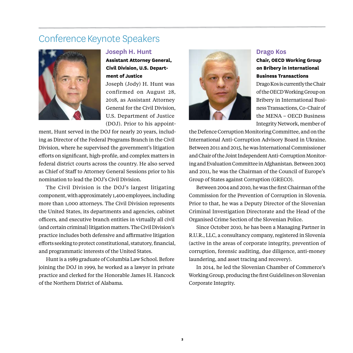# Conference Keynote Speakers



#### **Joseph H. Hunt**

**Assistant Attorney General, Civil Division, U.S. Department of Justice**

Joseph (Jody) H. Hunt was confirmed on August 28, 2018, as Assistant Attorney General for the Civil Division, U.S. Department of Justice (DOJ). Prior to his appoint-

ment, Hunt served in the DOJ for nearly 20 years, including as Director of the Federal Programs Branch in the Civil Division, where he supervised the government's litigation efforts on significant, high-profile, and complex matters in federal district courts across the country. He also served as Chief of Staff to Attorney General Sessions prior to his nomination to lead the DOJ's Civil Division.

The Civil Division is the DOJ's largest litigating component, with approximately 1,400 employees, including more than 1,000 attorneys. The Civil Division represents the United States, its departments and agencies, cabinet officers, and executive branch entities in virtually all civil (and certain criminal) litigation matters. The Civil Division's practice includes both defensive and affirmative litigation efforts seeking to protect constitutional, statutory, financial, and programmatic interests of the United States.

Hunt is a 1989 graduate of Columbia Law School. Before joining the DOJ in 1999, he worked as a lawyer in private practice and clerked for the Honorable James H. Hancock of the Northern District of Alabama.



#### **Drago Kos**

## **Chair, OECD Working Group on Bribery in International Business Transactions**

Drago Kos is currently the Chair of the OECD Working Group on Bribery in International Business Transactions, Co-Chair of the MENA – OECD Business Integrity Network, member of

the Defence Corruption Monitoring Committee, and on the International Anti-Corruption Advisory Board in Ukraine. Between 2011 and 2015, he was International Commissioner and Chair of the Joint Independent Anti-Corruption Monitoring and Evaluation Committee in Afghanistan. Between 2003 and 2011, he was the Chairman of the Council of Europe's Group of States against Corruption (GRECO).

Between 2004 and 2010, he was the first Chairman of the Commission for the Prevention of Corruption in Slovenia. Prior to that, he was a Deputy Director of the Slovenian Criminal Investigation Directorate and the Head of the Organised Crime Section of the Slovenian Police.

Since October 2010, he has been a Managing Partner in R.U.R., LLC, a consultancy company, registered in Slovenia (active in the areas of corporate integrity, prevention of corruption, forensic auditing, due diligence, anti-money laundering, and asset tracing and recovery).

In 2014, he led the Slovenian Chamber of Commerce's Working Group, producing the first Guidelines on Slovenian Corporate Integrity.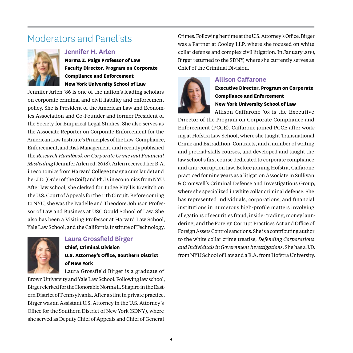# Moderators and Panelists



**Norma Z. Paige Professor of Law Faculty Director, Program on Corporate Compliance and Enforcement New York University School of Law**

Jennifer Arlen '86 is one of the nation's leading scholars on corporate criminal and civil liability and enforcement policy. She is President of the American Law and Economics Association and Co-Founder and former President of the Society for Empirical Legal Studies. She also serves as the Associate Reporter on Corporate Enforcement for the American Law Institute's Principles of the Law, Compliance, Enforcement, and Risk Management, and recently published the *Research Handbook on Corporate Crime and Financial Misdealing* (Jennifer Arlen ed. 2018). Arlen received her B.A. in economics from Harvard College (magna cum laude) and her J.D. (Order of the Coif) and Ph.D. in economics from NYU. After law school, she clerked for Judge Phyllis Kravitch on the U.S. Court of Appeals for the 11th Circuit. Before coming to NYU, she was the Ivadelle and Theodore Johnson Professor of Law and Business at USC Gould School of Law. She also has been a Visiting Professor at Harvard Law School, Yale Law School, and the California Institute of Technology.



# **Laura Grossfield Birger**

**Chief, Criminal Division U.S. Attorney's Office, Southern District of New York**

Laura Grossfield Birger is a graduate of

Brown University and Yale Law School. Following law school, Birger clerked for the Honorable Norma L. Shapiro in the Eastern District of Pennsylvania. After a stint in private practice, Birger was an Assistant U.S. Attorney in the U.S. Attorney's Office for the Southern District of New York (SDNY), where she served as Deputy Chief of Appeals and Chief of General

Crimes. Following her time at the U.S. Attorney's Office, Birger was a Partner at Cooley LLP, where she focused on white collar defense and complex civil litigation. In January 2019, Birger returned to the SDNY, where she currently serves as Chief of the Criminal Division.



# **Allison Caffarone**

**Executive Director, Program on Corporate Compliance and Enforcement New York University School of Law**

Allison Caffarone '03 is the Executive Director of the Program on Corporate Compliance and

Enforcement (PCCE). Caffarone joined PCCE after working at Hofstra Law School, where she taught Transnational Crime and Extradition, Contracts, and a number of writing and pretrial-skills courses, and developed and taught the law school's first course dedicated to corporate compliance and anti-corruption law. Before joining Hofstra, Caffarone practiced for nine years as a litigation Associate in Sullivan & Cromwell's Criminal Defense and Investigations Group, where she specialized in white collar criminal defense. She has represented individuals, corporations, and financial institutions in numerous high-profile matters involving allegations of securities fraud, insider trading, money laundering, and the Foreign Corrupt Practices Act and Office of Foreign Assets Control sanctions. She is a contributing author to the white collar crime treatise, *Defending Corporations and Individuals in Government Investigations*. She has a J.D. from NYU School of Law and a B.A. from Hofstra University.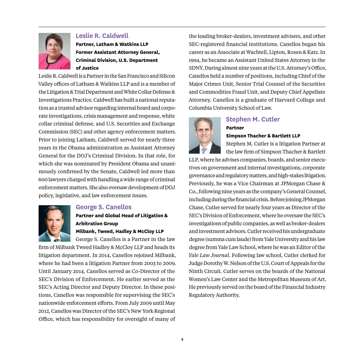

## **Leslie R. Caldwell**

**Partner, Latham & Watkins LLP Former Assistant Attorney General, Criminal Division, U.S. Department of Justice**

Leslie R. Caldwell is a Partner in the San Francisco and Silicon Valley offices of Latham & Watkins LLP and is a member of the Litigation & Trial Department and White Collar Defense & Investigations Practice. Caldwell has built a national reputation as a trusted advisor regarding internal board and corporate investigations, crisis management and response, white collar criminal defense, and U.S. Securities and Exchange Commission (SEC) and other agency enforcement matters. Prior to joining Latham, Caldwell served for nearly three years in the Obama administration as Assistant Attorney General for the DOJ's Criminal Division. In that role, for which she was nominated by President Obama and unanimously confirmed by the Senate, Caldwell led more than 600 lawyers charged with handling a wide range of criminal enforcement matters. She also oversaw development of DOJ policy, legislative, and law enforcement issues.



## **George S. Canellos**

**Partner and Global Head of Litigation & Arbitration Group**

#### **Milbank, Tweed, Hadley & McCloy LLP**

George S. Canellos is a Partner in the law

firm of Milbank Tweed Hadley & McCloy LLP and heads its litigation department. In 2014, Canellos rejoined Milbank, where he had been a litigation Partner from 2003 to 2009. Until January 2014, Canellos served as Co-Director of the SEC's Division of Enforcement. He earlier served as the SEC's Acting Director and Deputy Director. In these positions, Canellos was responsible for supervising the SEC's nationwide enforcement efforts. From July 2009 until May 2012, Canellos was Director of the SEC's New York Regional Office, which has responsibility for oversight of many of

the leading broker-dealers, investment advisers, and other SEC-registered financial institutions. Canellos began his career as an Associate at Wachtell, Lipton, Rosen & Katz. In 1994, he became an Assistant United States Attorney in the SDNY. During almost nine years at the U.S. Attorney's Office, Canellos held a number of positions, including Chief of the Major Crimes Unit, Senior Trial Counsel of the Securities and Commodities Fraud Unit, and Deputy Chief Appellate Attorney. Canellos is a graduate of Harvard College and Columbia University School of Law.



## **Stephen M. Cutler Partner**

#### **Simpson Thacher & Bartlett LLP**

Stephen M. Cutler is a litigation Partner at the law firm of Simpson Thacher & Bartlett

LLP, where he advises companies, boards, and senior executives on government and internal investigations, corporate governance and regulatory matters, and high-stakes litigation. Previously, he was a Vice Chairman at JPMorgan Chase & Co., following nine years as the company's General Counsel, including during the financial crisis. Before joining JPMorgan Chase, Cutler served for nearly four years as Director of the SEC's Division of Enforcement, where he oversaw the SEC's investigations of public companies, as well as broker-dealers and investment advisors. Cutler received his undergraduate degree (summa cum laude) from Yale University and his law degree from Yale Law School, where he was an Editor of the *Yale Law Journal*. Following law school, Cutler clerked for Judge Dorothy W. Nelson of the U.S. Court of Appeals for the Ninth Circuit. Cutler serves on the boards of the National Women's Law Center and the Metropolitan Museum of Art. He previously served on the board of the Financial Industry Regulatory Authority.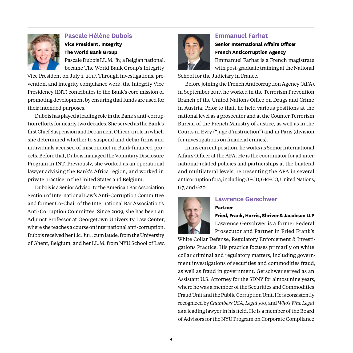

# **Pascale Hélène Dubois Vice President, Integrity The World Bank Group**

Pascale Dubois LL.M. '87, a Belgian national, became The World Bank Group's Integrity

Vice President on July 1, 2017. Through investigations, prevention, and integrity compliance work, the Integrity Vice Presidency (INT) contributes to the Bank's core mission of promoting development by ensuring that funds are used for their intended purposes.

Dubois has played a leading role in the Bank's anti-corruption efforts for nearly two decades. She served as the Bank's first Chief Suspension and Debarment Officer, a role in which she determined whether to suspend and debar firms and individuals accused of misconduct in Bank-financed projects. Before that, Dubois managed the Voluntary Disclosure Program in INT. Previously, she worked as an operational lawyer advising the Bank's Africa region, and worked in private practice in the United States and Belgium.

Dubois is a Senior Advisor to the American Bar Association Section of International Law's Anti-Corruption Committee and former Co-Chair of the International Bar Association's Anti-Corruption Committee. Since 2009, she has been an Adjunct Professor at Georgetown University Law Center, where she teaches a course on international anti-corruption. Dubois received her Lic. Jur., cum laude, from the University of Ghent, Belgium, and her LL.M. from NYU School of Law.



# **Emmanuel Farhat Senior International Affairs Officer French Anticorruption Agency**

Emmanuel Farhat is a French magistrate

with post-graduate training at the National

School for the Judiciary in France.

Before joining the French Anticorruption Agency (AFA), in September 2017, he worked in the Terrorism Prevention Branch of the United Nations Office on Drugs and Crime in Austria. Prior to that, he held various positions at the national level as a prosecutor and at the Counter Terrorism Bureau of the French Ministry of Justice, as well as in the Courts in Evry ("juge d'instruction") and in Paris (division for investigations on financial crimes).

In his current position, he works as Senior International Affairs Officer at the AFA. He is the coordinator for all international-related policies and partnerships at the bilateral and multilateral levels, representing the AFA in several anticorruption fora, including OECD, GRECO, United Nations, G7, and G20.



# **Lawrence Gerschwer**

**Partner**

**Fried, Frank, Harris, Shriver & Jacobson LLP** Lawrence Gerschwer is a former Federal Prosecutor and Partner in Fried Frank's

White Collar Defense, Regulatory Enforcement & Investigations Practice. His practice focuses primarily on white collar criminal and regulatory matters, including government investigations of securities and commodities fraud, as well as fraud in government. Gerschwer served as an Assistant U.S. Attorney for the SDNY for almost nine years, where he was a member of the Securities and Commodities Fraud Unit and the Public Corruption Unit. He is consistently recognized by *Chambers USA*, *Legal 500*, and *Who's Who Legal* as a leading lawyer in his field. He is a member of the Board of Advisors for the NYU Program on Corporate Compliance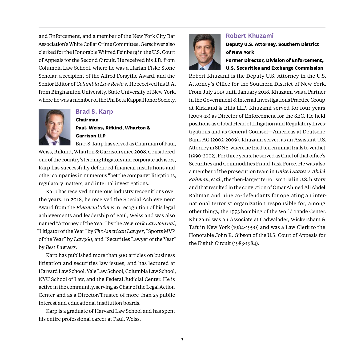and Enforcement, and a member of the New York City Bar Association's White Collar Crime Committee. Gerschwer also clerked for the Honorable Wilfred Feinberg in the U.S. Court of Appeals for the Second Circuit. He received his J.D. from Columbia Law School, where he was a Harlan Fiske Stone Scholar, a recipient of the Alfred Forsythe Award, and the Senior Editor of *Columbia Law Review*. He received his B.A. from Binghamton University, State University of New York, where he was a member of the Phi Beta Kappa Honor Society.



## **Brad S. Karp**

**Chairman**

# **Paul, Weiss, Rifkind, Wharton & Garrison LLP**

Brad S. Karp has served as Chairman of Paul, Weiss, Rifkind, Wharton & Garrison since 2008. Considered one of the country's leading litigators and corporate advisors, Karp has successfully defended financial institutions and other companies in numerous "bet the company" litigations, regulatory matters, and internal investigations.

Karp has received numerous industry recognitions over the years. In 2018, he received the Special Achievement Award from the *Financial Times* in recognition of his legal achievements and leadership of Paul, Weiss and was also named "Attorney of the Year" by the *New York Law Journal*, "Litigator of the Year" by *The American Lawyer*, "Sports MVP of the Year" by *Law360*, and "Securities Lawyer of the Year" by *Best Lawyers*.

Karp has published more than 500 articles on business litigation and securities law issues, and has lectured at Harvard Law School, Yale Law School, Columbia Law School, NYU School of Law, and the Federal Judicial Center. He is active in the community, serving as Chair of the Legal Action Center and as a Director/Trustee of more than 25 public interest and educational institution boards.

Karp is a graduate of Harvard Law School and has spent his entire professional career at Paul, Weiss.



#### **Robert Khuzami**

# **Deputy U.S. Attorney, Southern District of New York**

**Former Director, Division of Enforcement, U.S. Securities and Exchange Commission**

Robert Khuzami is the Deputy U.S. Attorney in the U.S. Attorney's Office for the Southern District of New York. From July 2013 until January 2018, Khuzami was a Partner in the Government & Internal Investigations Practice Group at Kirkland & Ellis LLP. Khuzami served for four years (2009-13) as Director of Enforcement for the SEC. He held positions as Global Head of Litigation and Regulatory Investigations and as General Counsel—Americas at Deutsche Bank AG (2002-2009). Khuzami served as an Assistant U.S. Attorney in SDNY, where he tried ten criminal trials to verdict (1990-2002). For three years, he served as Chief of that office's Securities and Commodities Fraud Task Force. He was also a member of the prosecution team in *United States v. Abdel Rahman, et al.*, the then-largest terrorism trial in U.S. history and that resulted in the conviction of Omar Ahmed Ali Abdel Rahman and nine co-defendants for operating an international terrorist organization responsible for, among other things, the 1993 bombing of the World Trade Center. Khuzami was an Associate at Cadwalader, Wickersham & Taft in New York (1984-1990) and was a Law Clerk to the Honorable John R. Gibson of the U.S. Court of Appeals for the Eighth Circuit (1983-1984).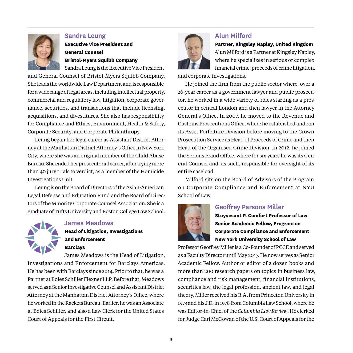

#### **Sandra Leung**

**Executive Vice President and General Counsel Bristol-Myers Squibb Company** Sandra Leung is the Executive Vice President

and General Counsel of Bristol-Myers Squibb Company. She leads the worldwide Law Department and is responsible for a wide range of legal areas, including intellectual property, commercial and regulatory law, litigation, corporate governance, securities, and transactions that include licensing, acquisitions, and divestitures. She also has responsibility for Compliance and Ethics, Environment, Health & Safety, Corporate Security, and Corporate Philanthropy.

Leung began her legal career as Assistant District Attorney at the Manhattan District Attorney's Office in New York City, where she was an original member of the Child Abuse Bureau. She ended her prosecutorial career, after trying more than 40 jury trials to verdict, as a member of the Homicide Investigations Unit.

Leung is on the Board of Directors of the Asian-American Legal Defense and Education Fund and the Board of Directors of the Minority Corporate Counsel Association. She is a graduate of Tufts University and Boston College Law School.

# **James Meadows Head of Litigation, Investigations and Enforcement Barclays**

James Meadows is the Head of Litigation,

Investigations and Enforcement for Barclays Americas. He has been with Barclays since 2014. Prior to that, he was a Partner at Boies Schiller Flexner LLP. Before that, Meadows served as a Senior Investigative Counsel and Assistant District Attorney at the Manhattan District Attorney's Office, where he worked in the Rackets Bureau. Earlier, he was an Associate at Boies Schiller, and also a Law Clerk for the United States Court of Appeals for the First Circuit.



# **Alun Milford**

**Partner, Kingsley Napley, United Kingdom** Alun Milford is a Partner at Kingsley Napley, where he specializes in serious or complex financial crime, proceeds of crime litigation,

and corporate investigations.

He joined the firm from the public sector where, over a 26-year career as a government lawyer and public prosecutor, he worked in a wide variety of roles starting as a prosecutor in central London and then lawyer in the Attorney General's Office. In 2007, he moved to the Revenue and Customs Prosecutions Office, where he established and ran its Asset Forfeiture Division before moving to the Crown Prosecution Service as Head of Proceeds of Crime and then Head of the Organised Crime Division. In 2012, he joined the Serious Fraud Office, where for six years he was its General Counsel and, as such, responsible for oversight of its entire caseload.

Milford sits on the Board of Advisors of the Program on Corporate Compliance and Enforcement at NYU School of Law.



## **Geoffrey Parsons Miller**

**Stuyvesant P. Comfort Professor of Law Senior Academic Fellow, Program on Corporate Compliance and Enforcement New York University School of Law**

Professor Geoffrey Miller is a Co-Founder of PCCE and served as a Faculty Director until May 2017. He now serves as Senior Academic Fellow. Author or editor of a dozen books and more than 200 research papers on topics in business law, compliance and risk management, financial institutions, securities law, the legal profession, ancient law, and legal theory, Miller received his B.A. from Princeton University in 1973 and his J.D. in 1978 from Columbia Law School, where he was Editor-in-Chief of the *Columbia Law Review*. He clerked for Judge Carl McGowan of the U.S. Court of Appeals for the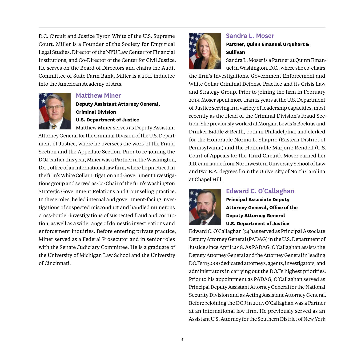D.C. Circuit and Justice Byron White of the U.S. Supreme Court. Miller is a Founder of the Society for Empirical Legal Studies, Director of the NYU Law Center for Financial Institutions, and Co-Director of the Center for Civil Justice. He serves on the Board of Directors and chairs the Audit Committee of State Farm Bank. Miller is a 2011 inductee into the American Academy of Arts.



#### **Matthew Miner**

**Deputy Assistant Attorney General, Criminal Division**

**U.S. Department of Justice**

Matthew Miner serves as Deputy Assistant Attorney General for the Criminal Division of the U.S. Department of Justice, where he oversees the work of the Fraud Section and the Appellate Section. Prior to re-joining the DOJ earlier this year, Miner was a Partner in the Washington, D.C., office of an international law firm, where he practiced in the firm's White Collar Litigation and Government Investigations group and served as Co-Chair of the firm's Washington Strategic Government Relations and Counseling practice. In these roles, he led internal and government-facing investigations of suspected misconduct and handled numerous cross-border investigations of suspected fraud and corruption, as well as a wide range of domestic investigations and enforcement inquiries. Before entering private practice, Miner served as a Federal Prosecutor and in senior roles with the Senate Judiciary Committee. He is a graduate of the University of Michigan Law School and the University of Cincinnati.



# **Sandra L. Moser**

#### **Partner, Quinn Emanuel Urquhart & Sullivan**

Sandra L. Moser is a Partner at Quinn Emanuel in Washington, D.C., where she co-chairs

the firm's Investigations, Government Enforcement and White Collar Criminal Defense Practice and its Crisis Law and Strategy Group. Prior to joining the firm in February 2019, Moser spent more than 12 years at the U.S. Department of Justice serving in a variety of leadership capacities, most recently as the Head of the Criminal Division's Fraud Section. She previously worked at Morgan, Lewis & Bockius and Drinker Biddle & Reath, both in Philadelphia, and clerked for the Honorable Norma L. Shapiro (Eastern District of Pennsylvania) and the Honorable Marjorie Rendell (U.S. Court of Appeals for the Third Circuit). Moser earned her J.D. cum laude from Northwestern University School of Law and two B.A. degrees from the University of North Carolina at Chapel Hill.



## **Edward C. O'Callaghan**

**Principal Associate Deputy Attorney General, Office of the Deputy Attorney General U.S. Department of Justice**

Edward C. O'Callaghan '94 has served as Principal Associate Deputy Attorney General (PADAG) in the U.S. Department of Justice since April 2018. As PADAG, O'Callaghan assists the Deputy Attorney General and the Attorney General in leading DOJ's 115,000 dedicated attorneys, agents, investigators, and administrators in carrying out the DOJ's highest priorities. Prior to his appointment as PADAG, O'Callaghan served as Principal Deputy Assistant Attorney General for the National Security Division and as Acting Assistant Attorney General. Before rejoining the DOJ in 2017, O'Callaghan was a Partner at an international law firm. He previously served as an Assistant U.S. Attorney for the Southern District of New York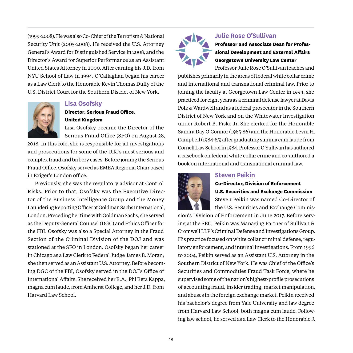(1999-2008). He was also Co-Chief of the Terrorism & National Security Unit (2005-2008). He received the U.S. Attorney General's Award for Distinguished Service in 2008, and the Director's Award for Superior Performance as an Assistant United States Attorney in 2000. After earning his J.D. from NYU School of Law in 1994, O'Callaghan began his career as a Law Clerk to the Honorable Kevin Thomas Duffy of the U.S. District Court for the Southern District of New York.



# **Lisa Osofsky**

# **Director, Serious Fraud Office, United Kingdom**

Lisa Osofsky became the Director of the Serious Fraud Office (SFO) on August 28,

2018. In this role, she is responsible for all investigations and prosecutions for some of the U.K.'s most serious and complex fraud and bribery cases. Before joining the Serious Fraud Office, Osofsky served as EMEA Regional Chair based in Exiger's London office.

Previously, she was the regulatory advisor at Control Risks. Prior to that, Osofsky was the Executive Director of the Business Intelligence Group and the Money Laundering Reporting Officer at Goldman Sachs International, London. Preceding her time with Goldman Sachs, she served as the Deputy General Counsel (DGC) and Ethics Officer for the FBI. Osofsky was also a Special Attorney in the Fraud Section of the Criminal Division of the DOJ and was stationed at the SFO in London. Osofsky began her career in Chicago as a Law Clerk to Federal Judge James B. Moran; she then served as an Assistant U.S. Attorney. Before becoming DGC of the FBI, Osofsky served in the DOJ's Office of International Affairs. She received her B.A., Phi Beta Kappa, magna cum laude, from Amherst College, and her J.D. from Harvard Law School.



# **Julie Rose O'Sullivan**

**Professor and Associate Dean for Professional Development and External Affairs Georgetown University Law Center**

Professor Julie Rose O'Sullivan teaches and publishes primarily in the areas of federal white collar crime and international and transnational criminal law. Prior to joining the faculty at Georgetown Law Center in 1994, she practiced for eight years as a criminal defense lawyer at Davis Polk & Wardwell and as a federal prosecutor in the Southern District of New York and on the Whitewater Investigation under Robert B. Fiske Jr. She clerked for the Honorable Sandra Day O'Connor (1985-86) and the Honorable Levin H. Campbell (1984-85) after graduating summa cum laude from Cornell Law School in 1984. Professor O'Sullivan has authored a casebook on federal white collar crime and co-authored a book on international and transnational criminal law.



## **Steven Peikin**

#### **Co-Director, Division of Enforcement U.S. Securities and Exchange Commission**

Steven Peikin was named Co-Director of the U.S. Securities and Exchange Commis-

sion's Division of Enforcement in June 2017. Before serving at the SEC, Peikin was Managing Partner of Sullivan & Cromwell LLP's Criminal Defense and Investigations Group. His practice focused on white collar criminal defense, regulatory enforcement, and internal investigations. From 1996 to 2004, Peikin served as an Assistant U.S. Attorney in the Southern District of New York. He was Chief of the Office's Securities and Commodities Fraud Task Force, where he supervised some of the nation's highest-profile prosecutions of accounting fraud, insider trading, market manipulation, and abuses in the foreign exchange market. Peikin received his bachelor's degree from Yale University and law degree from Harvard Law School, both magna cum laude. Following law school, he served as a Law Clerk to the Honorable J.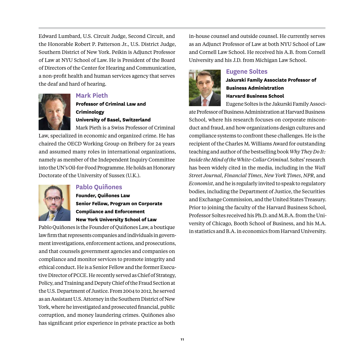Edward Lumbard, U.S. Circuit Judge, Second Circuit, and the Honorable Robert P. Patterson Jr., U.S. District Judge, Southern District of New York. Peikin is Adjunct Professor of Law at NYU School of Law. He is President of the Board of Directors of the Center for Hearing and Communication, a non-profit health and human services agency that serves the deaf and hard of hearing.



### **Mark Pieth**

**Professor of Criminal Law and Criminology University of Basel, Switzerland**

Mark Pieth is a Swiss Professor of Criminal Law, specialized in economic and organized crime. He has chaired the OECD Working Group on Bribery for 24 years and assumed many roles in international organizations, namely as member of the Independent Inquiry Committee into the UN's Oil-for-Food Programme. He holds an Honorary Doctorate of the University of Sussex (U.K.).



# **Pablo Quiñones**

**Founder, Quiñones Law Senior Fellow, Program on Corporate Compliance and Enforcement New York University School of Law**

Pablo Quiñones is the Founder of Quiñones Law, a boutique law firm that represents companies and individuals in government investigations, enforcement actions, and prosecutions, and that counsels government agencies and companies on compliance and monitor services to promote integrity and ethical conduct. He is a Senior Fellow and the former Executive Director of PCCE. He recently served as Chief of Strategy, Policy, and Training and Deputy Chief of the Fraud Section at the U.S. Department of Justice. From 2004 to 2012, he served as an Assistant U.S. Attorney in the Southern District of New York, where he investigated and prosecuted financial, public corruption, and money laundering crimes. Quiñones also has significant prior experience in private practice as both

in-house counsel and outside counsel. He currently serves as an Adjunct Professor of Law at both NYU School of Law and Cornell Law School. He received his A.B. from Cornell University and his J.D. from Michigan Law School.



#### **Eugene Soltes**

**Jakurski Family Associate Professor of Business Administration Harvard Business School**

Eugene Soltes is the Jakurski Family Associ-

ate Professor of Business Administration at Harvard Business School, where his research focuses on corporate misconduct and fraud, and how organizations design cultures and compliance systems to confront these challenges. He is the recipient of the Charles M. Williams Award for outstanding teaching and author of the bestselling book *Why They Do It: Inside the Mind of the White-Collar Criminal*. Soltes' research has been widely cited in the media, including in the *Wall Street Journal*, *Financial Times*, *New York Times*, *NPR*, and *Economist*, and he is regularly invited to speak to regulatory bodies, including the Department of Justice, the Securities and Exchange Commission, and the United States Treasury. Prior to joining the faculty of the Harvard Business School, Professor Soltes received his Ph.D. and M.B.A. from the University of Chicago, Booth School of Business, and his M.A. in statistics and B.A. in economics from Harvard University.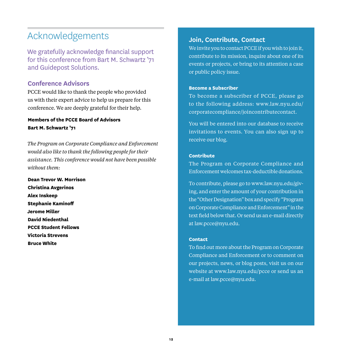# Acknowledgements

We gratefully acknowledge financial support for this conference from Bart M. Schwartz '71 and Guidepost Solutions.

# **Conference Advisors**

PCCE would like to thank the people who provided us with their expert advice to help us prepare for this conference. We are deeply grateful for their help.

#### **Members of the PCCE Board of Advisors Bart M. Schwartz '71**

*The Program on Corporate Compliance and Enforcement would also like to thank the following people for their assistance. This conference would not have been possible without them:*

**Dean Trevor W. Morrison Christina Avgerinos Alex Inskeep Stephanie Kaminoff Jerome Miller David Niedenthal PCCE Student Fellows Victoria Strevens Bruce White**

# **Join, Contribute, Contact**

We invite you to contact PCCE if you wish to join it, contribute to its mission, inquire about one of its events or projects, or bring to its attention a case or public policy issue.

#### **Become a Subscriber**

To become a subscriber of PCCE, please go [to the following address: www.law.nyu.edu/](http://www.law.nyu.edu/corporatecompliance/joincontributecontact) corporatecompliance/joincontributecontact.

You will be entered into our database to receive invitations to events. You can also sign up to receive our blog.

#### **Contribute**

The Program on Corporate Compliance and Enforcement welcomes tax-deductible donations.

[To contribute, please go to www.law.nyu.edu/giv](http://www.law.nyu.edu/giving)ing, and enter the amount of your contribution in the "Other Designation" box and specify "Program on Corporate Compliance and Enforcement" in the text field below that. Or send us an e-mail directly at [law.pcce@nyu.edu.](mailto:law.pcce@nyu.edu)

#### **Contact**

To find out more about the Program on Corporate Compliance and Enforcement or to comment on our projects, news, or blog posts, visit us on our website at [www.law.nyu.edu/pcce](http://www.law.nyu.edu/pcce) or send us an e-mail at [law.pcce@nyu.edu.](mailto:law.pcce@nyu.edu)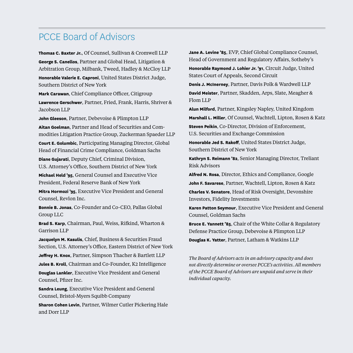# PCCE Board of Advisors

**Thomas C. Baxter Jr.**, Of Counsel, Sullivan & Cromwell LLP **George S. Canellos**, Partner and Global Head, Litigation & Arbitration Group, Milbank, Tweed, Hadley & McCloy LLP **Honorable Valerie E. Caproni**, United States District Judge, Southern District of New York

**Mark Carawan**, Chief Compliance Officer, Citigroup **Lawrence Gerschwer**, Partner, Fried, Frank, Harris, Shriver & Jacobson LLP

**John Gleeson**, Partner, Debevoise & Plimpton LLP

**Aitan Goelman**, Partner and Head of Securities and Commodities Litigation Practice Group, Zuckerman Spaeder LLP

**Court E. Golumbic**, Participating Managing Director, Global Head of Financial Crime Compliance, Goldman Sachs

**Diane Gujarati**, Deputy Chief, Criminal Division, U.S. Attorney's Office, Southern District of New York

**Michael Held '95**, General Counsel and Executive Vice President, Federal Reserve Bank of New York

**Mitra Hormozi '95**, Executive Vice President and General Counsel, Revlon Inc.

**Bonnie B. Jonas**, Co-Founder and Co-CEO, Pallas Global Group LLC

**Brad S. Karp**, Chairman, Paul, Weiss, Rifkind, Wharton & Garrison LLP

**Jacquelyn M. Kasulis**, Chief, Business & Securities Fraud Section, U.S. Attorney's Office, Eastern District of New York **Jeffrey H. Knox**, Partner, Simpson Thacher & Bartlett LLP **Jules B. Kroll**, Chairman and Co-Founder, K2 Intelligence **Douglas Lankler**, Executive Vice President and General Counsel, Pfizer Inc.

**Sandra Leung**, Executive Vice President and General Counsel, Bristol-Myers Squibb Company

**Sharon Cohen Levin**, Partner, Wilmer Cutler Pickering Hale and Dorr LLP

**Jane A. Levine '85**, EVP, Chief Global Compliance Counsel, Head of Government and Regulatory Affairs, Sotheby's **Honorable Raymond J. Lohier Jr. '91**, Circuit Judge, United

States Court of Appeals, Second Circuit

**Denis J. McInerney**, Partner, Davis Polk & Wardwell LLP **David Meister**, Partner, Skadden, Arps, Slate, Meagher & Flom LLP

**Alun Milford**, Partner, Kingsley Napley, United Kingdom **Marshall L. Miller**, Of Counsel, Wachtell, Lipton, Rosen & Katz **Steven Peikin**, Co-Director, Division of Enforcement, U.S. Securities and Exchange Commission

**Honorable Jed S. Rakoff**, United States District Judge, Southern District of New York

**Kathryn S. Reimann '82**, Senior Managing Director, Treliant Risk Advisors

**Alfred N. Rosa**, Director, Ethics and Compliance, Google

**John F. Savarese**, Partner, Wachtell, Lipton, Rosen & Katz

**Charles V. Senatore**, Head of Risk Oversight, Devonshire Investors, Fidelity Investments

**Karen Patton Seymour**, Executive Vice President and General Counsel, Goldman Sachs

**Bruce E. Yannett '85**, Chair of the White Collar & Regulatory Defense Practice Group, Debevoise & Plimpton LLP **Douglas K. Yatter**, Partner, Latham & Watkins LLP

*The Board of Advisors acts in an advisory capacity and does not directly determine or oversee PCCE's activities. All members of the PCCE Board of Advisors are unpaid and serve in their individual capacity.*